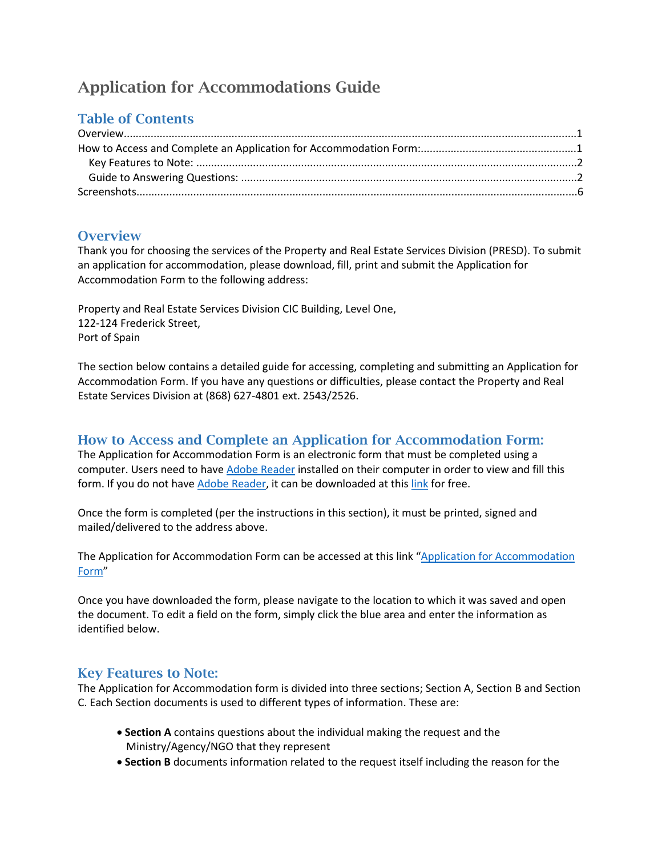# Application for Accommodations Guide

# Table of Contents

## **Overview**

Thank you for choosing the services of the Property and Real Estate Services Division (PRESD). To submit an application for accommodation, please download, fill, print and submit the Application for Accommodation Form to the following address:

Property and Real Estate Services Division CIC Building, Level One, 122-124 Frederick Street, Port of Spain

The section below contains a detailed guide for accessing, completing and submitting an Application for Accommodation Form. If you have any questions or difficulties, please contact the Property and Real Estate Services Division at (868) 627-4801 ext. 2543/2526.

## How to Access and Complete an Application for Accommodation Form:

The Application for Accommodation Form is an electronic form that must be completed using a computer. Users need to hav[e Adobe Reader](https://get.adobe.com/reader/) installed on their computer in order to view and fill this form. If you do not hav[e Adobe Reader,](https://get.adobe.com/reader/) it can be downloaded at this [link](https://get.adobe.com/reader/) for free.

Once the form is completed (per the instructions in this section), it must be printed, signed and mailed/delivered to the address above.

The Application for Accommodation Form can be accessed at this link "Application for Accommodation [Form"](http://mpac.gov.tt/sites/default/files/file_upload/Forms/Application%20for%20Accommodation%20Form%202017.pdf)

Once you have downloaded the form, please navigate to the location to which it was saved and open the document. To edit a field on the form, simply click the blue area and enter the information as identified below.

### Key Features to Note:

The Application for Accommodation form is divided into three sections; Section A, Section B and Section C. Each Section documents is used to different types of information. These are:

- **Section A** contains questions about the individual making the request and the Ministry/Agency/NGO that they represent
- **Section B** documents information related to the request itself including the reason for the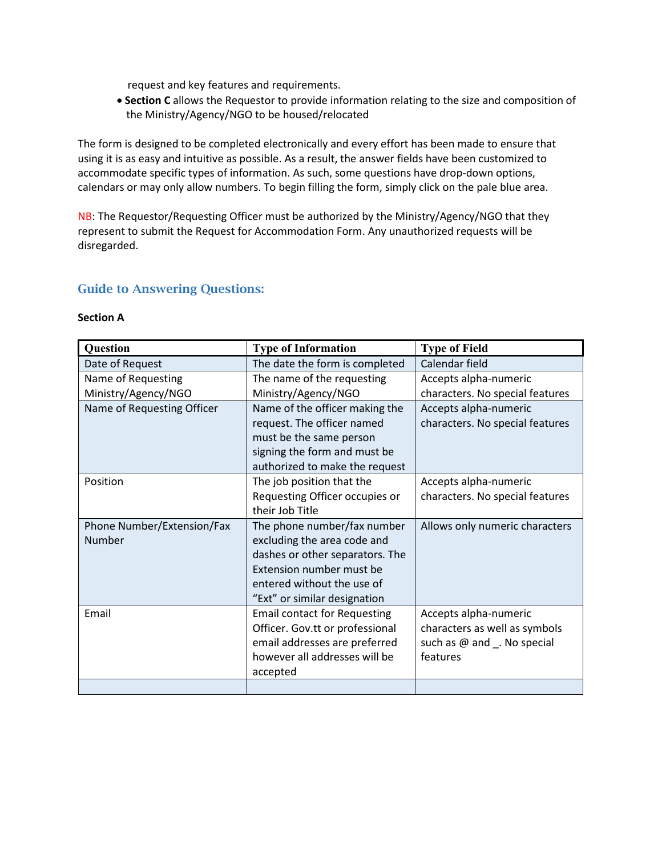request and key features and requirements.

• **Section C** allows the Requestor to provide information relating to the size and composition of the Ministry/Agency/NGO to be housed/relocated

The form is designed to be completed electronically and every effort has been made to ensure that using it is as easy and intuitive as possible. As a result, the answer fields have been customized to accommodate specific types of information. As such, some questions have drop-down options, calendars or may only allow numbers. To begin filling the form, simply click on the pale blue area.

NB: The Requestor/Requesting Officer must be authorized by the Ministry/Agency/NGO that they represent to submit the Request for Accommodation Form. Any unauthorized requests will be disregarded.

#### Guide to Answering Questions:

#### **Section A**

| <b>Question</b>            | <b>Type of Information</b>          | <b>Type of Field</b>            |  |
|----------------------------|-------------------------------------|---------------------------------|--|
| Date of Request            | The date the form is completed      | Calendar field                  |  |
| Name of Requesting         | The name of the requesting          | Accepts alpha-numeric           |  |
| Ministry/Agency/NGO        | Ministry/Agency/NGO                 | characters. No special features |  |
| Name of Requesting Officer | Name of the officer making the      | Accepts alpha-numeric           |  |
|                            | request. The officer named          | characters. No special features |  |
|                            | must be the same person             |                                 |  |
|                            | signing the form and must be        |                                 |  |
|                            | authorized to make the request      |                                 |  |
| Position                   | The job position that the           | Accepts alpha-numeric           |  |
|                            | Requesting Officer occupies or      | characters. No special features |  |
|                            | their Job Title                     |                                 |  |
| Phone Number/Extension/Fax | The phone number/fax number         | Allows only numeric characters  |  |
| Number                     | excluding the area code and         |                                 |  |
|                            | dashes or other separators. The     |                                 |  |
|                            | Extension number must be            |                                 |  |
|                            | entered without the use of          |                                 |  |
|                            | "Ext" or similar designation        |                                 |  |
| Email                      | <b>Email contact for Requesting</b> | Accepts alpha-numeric           |  |
|                            | Officer. Gov.tt or professional     | characters as well as symbols   |  |
|                            | email addresses are preferred       | such as @ and _. No special     |  |
|                            | however all addresses will be       | features                        |  |
|                            | accepted                            |                                 |  |
|                            |                                     |                                 |  |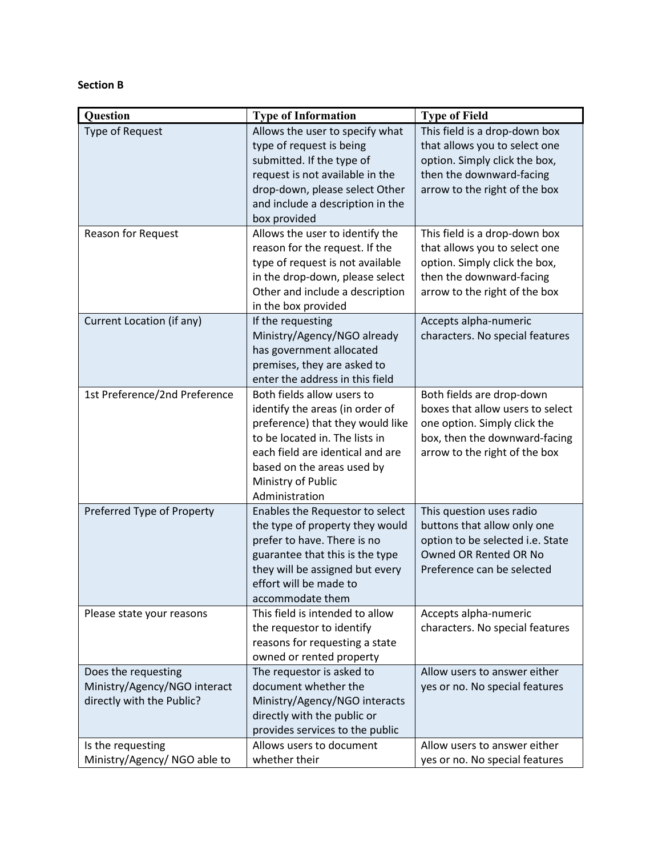### **Section B**

| Question                                            | <b>Type of Information</b>                             | <b>Type of Field</b>                                     |
|-----------------------------------------------------|--------------------------------------------------------|----------------------------------------------------------|
| <b>Type of Request</b>                              | Allows the user to specify what                        | This field is a drop-down box                            |
|                                                     | type of request is being                               | that allows you to select one                            |
|                                                     | submitted. If the type of                              | option. Simply click the box,                            |
|                                                     | request is not available in the                        | then the downward-facing                                 |
|                                                     | drop-down, please select Other                         | arrow to the right of the box                            |
|                                                     | and include a description in the                       |                                                          |
|                                                     | box provided                                           |                                                          |
| Reason for Request                                  | Allows the user to identify the                        | This field is a drop-down box                            |
|                                                     | reason for the request. If the                         | that allows you to select one                            |
|                                                     | type of request is not available                       | option. Simply click the box,                            |
|                                                     | in the drop-down, please select                        | then the downward-facing                                 |
|                                                     | Other and include a description<br>in the box provided | arrow to the right of the box                            |
| Current Location (if any)                           |                                                        |                                                          |
|                                                     | If the requesting<br>Ministry/Agency/NGO already       | Accepts alpha-numeric<br>characters. No special features |
|                                                     | has government allocated                               |                                                          |
|                                                     | premises, they are asked to                            |                                                          |
|                                                     | enter the address in this field                        |                                                          |
| 1st Preference/2nd Preference                       | Both fields allow users to                             | Both fields are drop-down                                |
|                                                     | identify the areas (in order of                        | boxes that allow users to select                         |
|                                                     | preference) that they would like                       | one option. Simply click the                             |
|                                                     | to be located in. The lists in                         | box, then the downward-facing                            |
|                                                     | each field are identical and are                       | arrow to the right of the box                            |
|                                                     | based on the areas used by                             |                                                          |
|                                                     | Ministry of Public                                     |                                                          |
|                                                     | Administration                                         |                                                          |
| Preferred Type of Property                          | Enables the Requestor to select                        | This question uses radio                                 |
|                                                     | the type of property they would                        | buttons that allow only one                              |
|                                                     | prefer to have. There is no                            | option to be selected i.e. State                         |
|                                                     | guarantee that this is the type                        | Owned OR Rented OR No                                    |
|                                                     | they will be assigned but every                        | Preference can be selected                               |
|                                                     | effort will be made to                                 |                                                          |
|                                                     | accommodate them                                       |                                                          |
| Please state your reasons                           | This field is intended to allow                        | Accepts alpha-numeric                                    |
|                                                     | the requestor to identify                              | characters. No special features                          |
|                                                     | reasons for requesting a state                         |                                                          |
|                                                     | owned or rented property                               | Allow users to answer either                             |
| Does the requesting<br>Ministry/Agency/NGO interact | The requestor is asked to<br>document whether the      |                                                          |
| directly with the Public?                           | Ministry/Agency/NGO interacts                          | yes or no. No special features                           |
|                                                     | directly with the public or                            |                                                          |
|                                                     | provides services to the public                        |                                                          |
| Is the requesting                                   | Allows users to document                               | Allow users to answer either                             |
| Ministry/Agency/ NGO able to                        | whether their                                          | yes or no. No special features                           |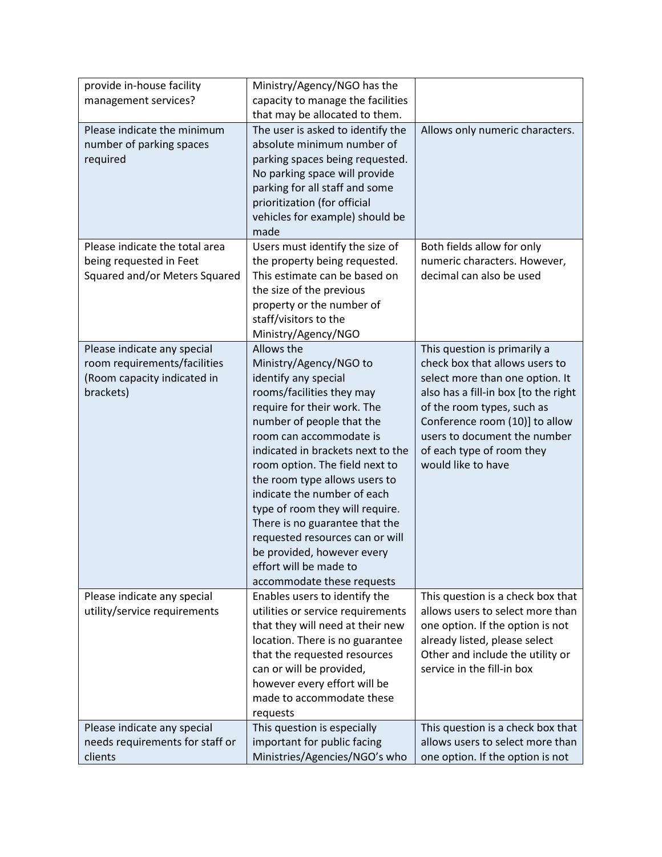| provide in-house facility                                                                             | Ministry/Agency/NGO has the                                                                                                                                                                                                                                                                                                                                                                                                                                                                             |                                                                                                                                                                                                                                                              |
|-------------------------------------------------------------------------------------------------------|---------------------------------------------------------------------------------------------------------------------------------------------------------------------------------------------------------------------------------------------------------------------------------------------------------------------------------------------------------------------------------------------------------------------------------------------------------------------------------------------------------|--------------------------------------------------------------------------------------------------------------------------------------------------------------------------------------------------------------------------------------------------------------|
| management services?                                                                                  | capacity to manage the facilities                                                                                                                                                                                                                                                                                                                                                                                                                                                                       |                                                                                                                                                                                                                                                              |
|                                                                                                       | that may be allocated to them.                                                                                                                                                                                                                                                                                                                                                                                                                                                                          |                                                                                                                                                                                                                                                              |
| Please indicate the minimum<br>number of parking spaces<br>required<br>Please indicate the total area | The user is asked to identify the<br>absolute minimum number of<br>parking spaces being requested.<br>No parking space will provide<br>parking for all staff and some<br>prioritization (for official<br>vehicles for example) should be<br>made<br>Users must identify the size of                                                                                                                                                                                                                     | Allows only numeric characters.<br>Both fields allow for only                                                                                                                                                                                                |
| being requested in Feet                                                                               | the property being requested.                                                                                                                                                                                                                                                                                                                                                                                                                                                                           | numeric characters. However,                                                                                                                                                                                                                                 |
| Squared and/or Meters Squared                                                                         | This estimate can be based on<br>the size of the previous<br>property or the number of<br>staff/visitors to the<br>Ministry/Agency/NGO                                                                                                                                                                                                                                                                                                                                                                  | decimal can also be used                                                                                                                                                                                                                                     |
| Please indicate any special                                                                           | Allows the                                                                                                                                                                                                                                                                                                                                                                                                                                                                                              | This question is primarily a                                                                                                                                                                                                                                 |
| room requirements/facilities<br>(Room capacity indicated in<br>brackets)                              | Ministry/Agency/NGO to<br>identify any special<br>rooms/facilities they may<br>require for their work. The<br>number of people that the<br>room can accommodate is<br>indicated in brackets next to the<br>room option. The field next to<br>the room type allows users to<br>indicate the number of each<br>type of room they will require.<br>There is no guarantee that the<br>requested resources can or will<br>be provided, however every<br>effort will be made to<br>accommodate these requests | check box that allows users to<br>select more than one option. It<br>also has a fill-in box [to the right<br>of the room types, such as<br>Conference room (10)] to allow<br>users to document the number<br>of each type of room they<br>would like to have |
| Please indicate any special<br>utility/service requirements                                           | Enables users to identify the<br>utilities or service requirements<br>that they will need at their new<br>location. There is no guarantee<br>that the requested resources<br>can or will be provided,<br>however every effort will be<br>made to accommodate these<br>requests                                                                                                                                                                                                                          | This question is a check box that<br>allows users to select more than<br>one option. If the option is not<br>already listed, please select<br>Other and include the utility or<br>service in the fill-in box                                                 |
| Please indicate any special                                                                           | This question is especially                                                                                                                                                                                                                                                                                                                                                                                                                                                                             | This question is a check box that                                                                                                                                                                                                                            |
| needs requirements for staff or                                                                       | important for public facing                                                                                                                                                                                                                                                                                                                                                                                                                                                                             | allows users to select more than                                                                                                                                                                                                                             |
| clients                                                                                               | Ministries/Agencies/NGO's who                                                                                                                                                                                                                                                                                                                                                                                                                                                                           | one option. If the option is not                                                                                                                                                                                                                             |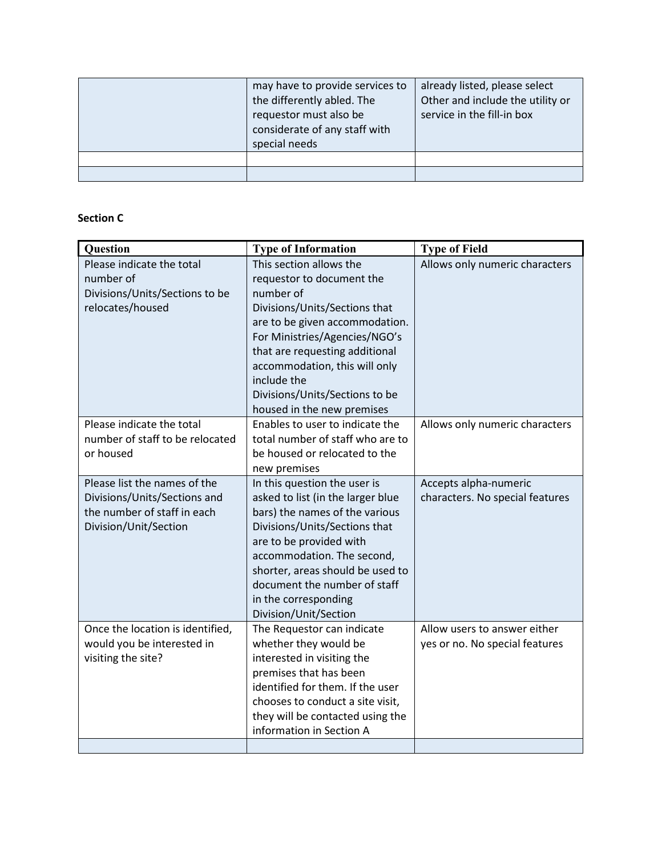| may have to provide services to<br>the differently abled. The<br>requestor must also be<br>considerate of any staff with<br>special needs | already listed, please select<br>Other and include the utility or<br>service in the fill-in box |
|-------------------------------------------------------------------------------------------------------------------------------------------|-------------------------------------------------------------------------------------------------|
|                                                                                                                                           |                                                                                                 |
|                                                                                                                                           |                                                                                                 |

#### **Section C**

| <b>Question</b>                                                                                                      | <b>Type of Information</b>                                                                                                                                                                                                                                                                                              | <b>Type of Field</b>                                           |  |
|----------------------------------------------------------------------------------------------------------------------|-------------------------------------------------------------------------------------------------------------------------------------------------------------------------------------------------------------------------------------------------------------------------------------------------------------------------|----------------------------------------------------------------|--|
| Please indicate the total<br>number of<br>Divisions/Units/Sections to be<br>relocates/housed                         | This section allows the<br>requestor to document the<br>number of<br>Divisions/Units/Sections that<br>are to be given accommodation.<br>For Ministries/Agencies/NGO's<br>that are requesting additional<br>accommodation, this will only<br>include the<br>Divisions/Units/Sections to be<br>housed in the new premises | Allows only numeric characters                                 |  |
| Please indicate the total<br>number of staff to be relocated<br>or housed                                            | Enables to user to indicate the<br>total number of staff who are to<br>be housed or relocated to the<br>new premises                                                                                                                                                                                                    | Allows only numeric characters                                 |  |
| Please list the names of the<br>Divisions/Units/Sections and<br>the number of staff in each<br>Division/Unit/Section | In this question the user is<br>asked to list (in the larger blue<br>bars) the names of the various<br>Divisions/Units/Sections that<br>are to be provided with<br>accommodation. The second,<br>shorter, areas should be used to<br>document the number of staff<br>in the corresponding<br>Division/Unit/Section      | Accepts alpha-numeric<br>characters. No special features       |  |
| Once the location is identified,<br>would you be interested in<br>visiting the site?                                 | The Requestor can indicate<br>whether they would be<br>interested in visiting the<br>premises that has been<br>identified for them. If the user<br>chooses to conduct a site visit,<br>they will be contacted using the<br>information in Section A                                                                     | Allow users to answer either<br>yes or no. No special features |  |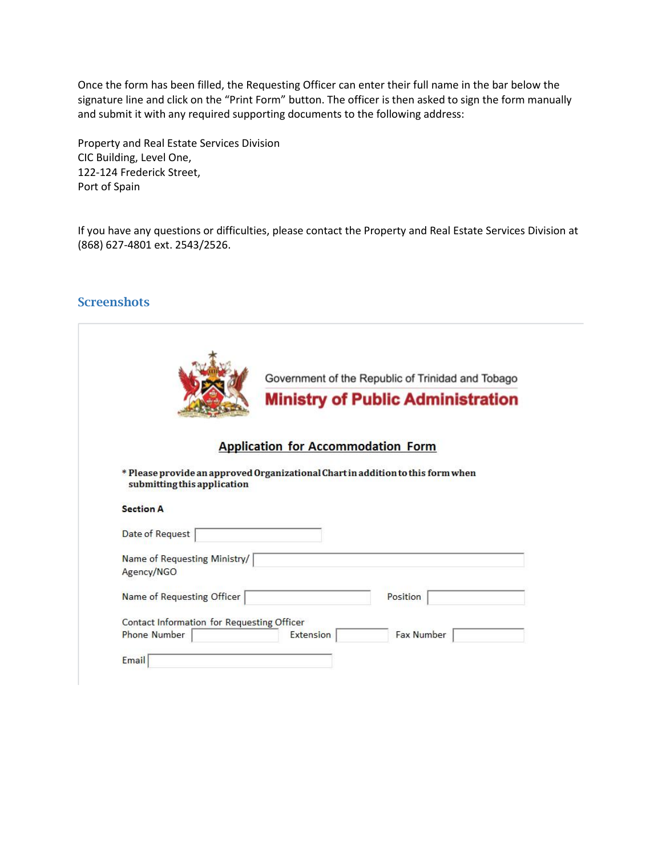Once the form has been filled, the Requesting Officer can enter their full name in the bar below the signature line and click on the "Print Form" button. The officer is then asked to sign the form manually and submit it with any required supporting documents to the following address:

Property and Real Estate Services Division CIC Building, Level One, 122-124 Frederick Street, Port of Spain

If you have any questions or difficulties, please contact the Property and Real Estate Services Division at (868) 627-4801 ext. 2543/2526.

#### **Screenshots**

|                                            | Government of the Republic of Trinidad and Tobago                               |
|--------------------------------------------|---------------------------------------------------------------------------------|
|                                            | <b>Ministry of Public Administration</b>                                        |
|                                            | <b>Application for Accommodation Form</b>                                       |
| submitting this application                | * Please provide an approved Organizational Chart in addition to this form when |
| <b>Section A</b>                           |                                                                                 |
| Date of Request                            |                                                                                 |
|                                            |                                                                                 |
| Name of Requesting Ministry/<br>Agency/NGO |                                                                                 |
| Name of Requesting Officer                 | Position                                                                        |
| Contact Information for Requesting Officer |                                                                                 |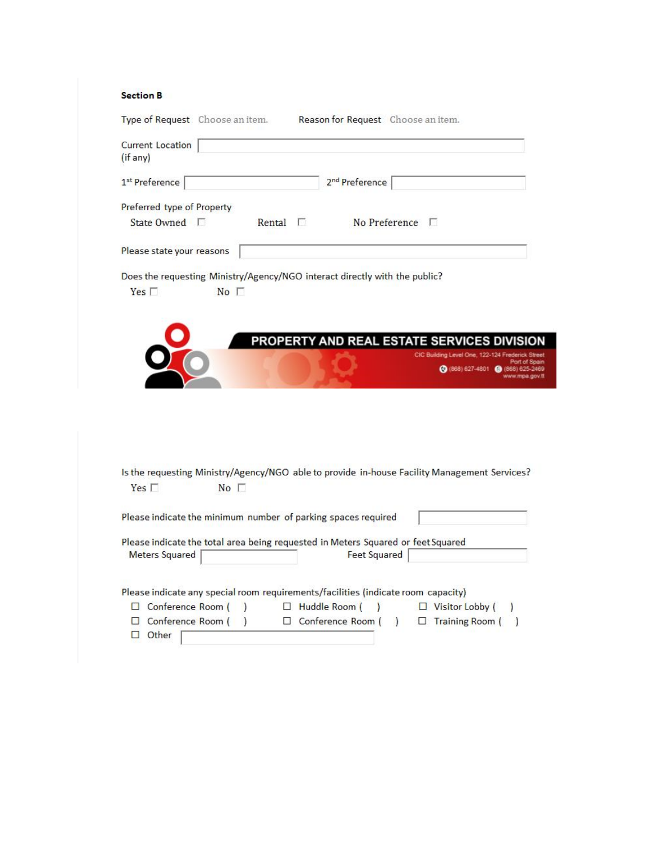#### **Section B**

| <b>Current Location</b>    |                            |               |                                                                                              |                                     |                     |
|----------------------------|----------------------------|---------------|----------------------------------------------------------------------------------------------|-------------------------------------|---------------------|
| (if any)                   |                            |               |                                                                                              |                                     |                     |
| 1 <sup>st</sup> Preference |                            |               | 2 <sup>nd</sup> Preference                                                                   |                                     |                     |
|                            | Preferred type of Property |               |                                                                                              |                                     |                     |
|                            | State Owned $\Box$         | Rental $\Box$ | No Preference $\Box$                                                                         |                                     |                     |
|                            | Please state your reasons  |               |                                                                                              |                                     |                     |
|                            |                            |               | Does the requesting Ministry/Agency/NGO interact directly with the public?                   |                                     |                     |
| Yes $\Gamma$               | No <sub>1</sub>            |               |                                                                                              |                                     |                     |
|                            |                            |               |                                                                                              |                                     |                     |
|                            |                            |               |                                                                                              |                                     |                     |
|                            |                            |               | PROPERTY AND REAL ESTATE SERVICES DIVISION                                                   |                                     |                     |
|                            |                            |               |                                                                                              | CIC Building Level One, 122-124 Fre |                     |
|                            |                            |               |                                                                                              |                                     |                     |
|                            |                            |               |                                                                                              |                                     |                     |
|                            |                            |               |                                                                                              | (0 (868) 627-4801 (868) 625         |                     |
|                            |                            |               |                                                                                              |                                     |                     |
|                            |                            |               |                                                                                              |                                     |                     |
|                            |                            |               |                                                                                              |                                     |                     |
|                            |                            |               |                                                                                              |                                     |                     |
|                            |                            |               |                                                                                              |                                     |                     |
|                            |                            |               |                                                                                              |                                     |                     |
|                            |                            |               |                                                                                              |                                     |                     |
|                            |                            |               | Is the requesting Ministry/Agency/NGO able to provide in-house Facility Management Services? |                                     |                     |
| Yes $\Box$                 | No <sub>1</sub>            |               |                                                                                              |                                     |                     |
|                            |                            |               |                                                                                              |                                     |                     |
|                            |                            |               | Please indicate the minimum number of parking spaces required                                |                                     |                     |
|                            |                            |               |                                                                                              |                                     |                     |
|                            |                            |               | Please indicate the total area being requested in Meters Squared or feet Squared             |                                     |                     |
| <b>Meters Squared</b>      |                            |               | <b>Feet Squared</b>                                                                          |                                     |                     |
|                            |                            |               |                                                                                              |                                     |                     |
|                            |                            |               |                                                                                              |                                     |                     |
|                            |                            |               | Please indicate any special room requirements/facilities (indicate room capacity)            |                                     |                     |
|                            | $\Box$ Conference Room (   | $\lambda$     | $\Box$ Huddle Room (<br>$\lambda$                                                            | $\Box$ Visitor Lobby (              | www.mpa.gov.tt<br>, |